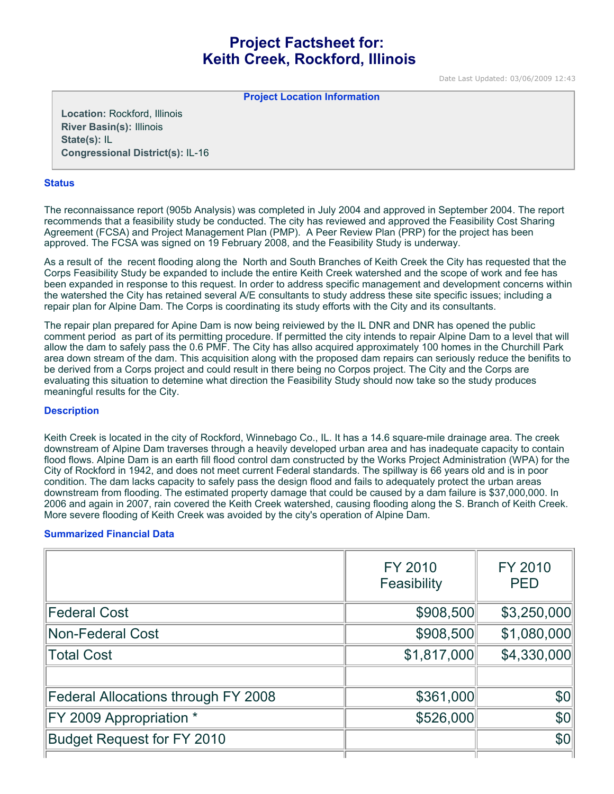# **Project Factsheet for: Keith Creek, Rockford, Illinois**

Date Last Updated: 03/06/2009 12:43

**Project Location Information** 

**Location:** Rockford, Illinois **River Basin(s):** Illinois **State(s):** IL **Congressional District(s):** IL-16

#### **Status**

The reconnaissance report (905b Analysis) was completed in July 2004 and approved in September 2004. The report recommends that a feasibility study be conducted. The city has reviewed and approved the Feasibility Cost Sharing Agreement (FCSA) and Project Management Plan (PMP). A Peer Review Plan (PRP) for the project has been approved. The FCSA was signed on 19 February 2008, and the Feasibility Study is underway.

As a result of the recent flooding along the North and South Branches of Keith Creek the City has requested that the Corps Feasibility Study be expanded to include the entire Keith Creek watershed and the scope of work and fee has been expanded in response to this request. In order to address specific management and development concerns within the watershed the City has retained several A/E consultants to study address these site specific issues; including a repair plan for Alpine Dam. The Corps is coordinating its study efforts with the City and its consultants.

The repair plan prepared for Apine Dam is now being reiviewed by the IL DNR and DNR has opened the public comment period as part of its permitting procedure. If permitted the city intends to repair Alpine Dam to a level that will allow the dam to safely pass the 0.6 PMF. The City has allso acquired approximately 100 homes in the Churchill Park area down stream of the dam. This acquisition along with the proposed dam repairs can seriously reduce the benifits to be derived from a Corps project and could result in there being no Corpos project. The City and the Corps are evaluating this situation to detemine what direction the Feasibility Study should now take so the study produces meaningful results for the City.

# **Description**

Keith Creek is located in the city of Rockford, Winnebago Co., IL. It has a 14.6 square-mile drainage area. The creek downstream of Alpine Dam traverses through a heavily developed urban area and has inadequate capacity to contain flood flows. Alpine Dam is an earth fill flood control dam constructed by the Works Project Administration (WPA) for the City of Rockford in 1942, and does not meet current Federal standards. The spillway is 66 years old and is in poor condition. The dam lacks capacity to safely pass the design flood and fails to adequately protect the urban areas downstream from flooding. The estimated property damage that could be caused by a dam failure is \$37,000,000. In 2006 and again in 2007, rain covered the Keith Creek watershed, causing flooding along the S. Branch of Keith Creek. More severe flooding of Keith Creek was avoided by the city's operation of Alpine Dam.

# **Summarized Financial Data**

|                                     | FY 2010<br>Feasibility | FY 2010<br><b>PED</b> |
|-------------------------------------|------------------------|-----------------------|
| <b>Federal Cost</b>                 | \$908,500              | \$3,250,000           |
| Non-Federal Cost                    | \$908,500              | \$1,080,000           |
| <b>Total Cost</b>                   | \$1,817,000            | \$4,330,000           |
|                                     |                        |                       |
| Federal Allocations through FY 2008 | \$361,000              | \$0 <sub>1</sub>      |
| FY 2009 Appropriation *             | \$526,000              | \$0 <sub>1</sub>      |
| <b>Budget Request for FY 2010</b>   |                        | \$0                   |
|                                     |                        |                       |